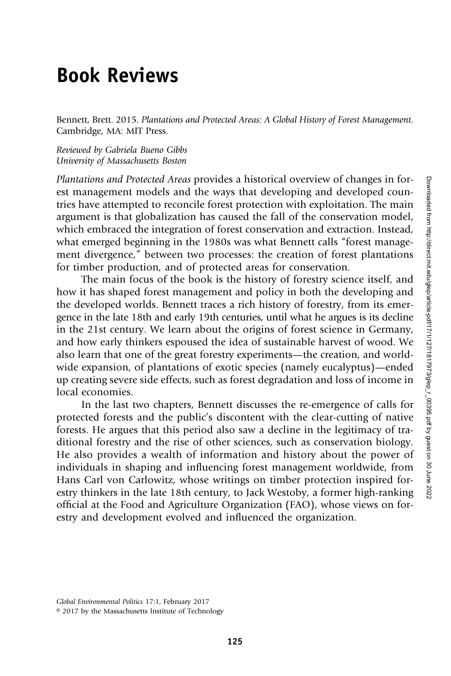## Book Reviews

Bennett, Brett. 2015. Plantations and Protected Areas: A Global History of Forest Management. Cambridge, MA: MIT Press.

Reviewed by Gabriela Bueno Gibbs University of Massachusetts Boston

Plantations and Protected Areas provides a historical overview of changes in forest management models and the ways that developing and developed countries have attempted to reconcile forest protection with exploitation. The main argument is that globalization has caused the fall of the conservation model, which embraced the integration of forest conservation and extraction. Instead, what emerged beginning in the 1980s was what Bennett calls "forest management divergence," between two processes: the creation of forest plantations for timber production, and of protected areas for conservation.

The main focus of the book is the history of forestry science itself, and how it has shaped forest management and policy in both the developing and the developed worlds. Bennett traces a rich history of forestry, from its emergence in the late 18th and early 19th centuries, until what he argues is its decline in the 21st century. We learn about the origins of forest science in Germany, and how early thinkers espoused the idea of sustainable harvest of wood. We also learn that one of the great forestry experiments—the creation, and worldwide expansion, of plantations of exotic species (namely eucalyptus)—ended up creating severe side effects, such as forest degradation and loss of income in local economies.

In the last two chapters, Bennett discusses the re-emergence of calls for protected forests and the public's discontent with the clear-cutting of native forests. He argues that this period also saw a decline in the legitimacy of traditional forestry and the rise of other sciences, such as conservation biology. He also provides a wealth of information and history about the power of individuals in shaping and influencing forest management worldwide, from Hans Carl von Carlowitz, whose writings on timber protection inspired forestry thinkers in the late 18th century, to Jack Westoby, a former high-ranking official at the Food and Agriculture Organization (FAO), whose views on forestry and development evolved and influenced the organization.

Global Environmental Politics 17:1, February 2017

<sup>© 2017</sup> by the Massachusetts Institute of Technology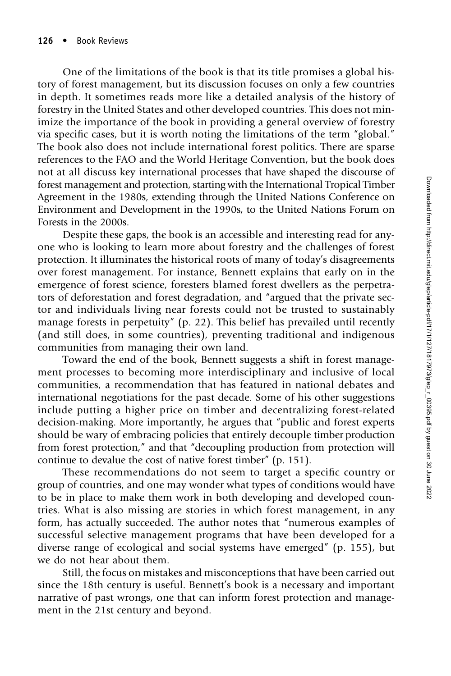One of the limitations of the book is that its title promises a global history of forest management, but its discussion focuses on only a few countries in depth. It sometimes reads more like a detailed analysis of the history of forestry in the United States and other developed countries. This does not minimize the importance of the book in providing a general overview of forestry via specific cases, but it is worth noting the limitations of the term "global." The book also does not include international forest politics. There are sparse references to the FAO and the World Heritage Convention, but the book does not at all discuss key international processes that have shaped the discourse of forest management and protection, starting with the International Tropical Timber Agreement in the 1980s, extending through the United Nations Conference on Environment and Development in the 1990s, to the United Nations Forum on Forests in the 2000s.

Despite these gaps, the book is an accessible and interesting read for anyone who is looking to learn more about forestry and the challenges of forest protection. It illuminates the historical roots of many of today's disagreements over forest management. For instance, Bennett explains that early on in the emergence of forest science, foresters blamed forest dwellers as the perpetrators of deforestation and forest degradation, and "argued that the private sector and individuals living near forests could not be trusted to sustainably manage forests in perpetuity" (p. 22). This belief has prevailed until recently (and still does, in some countries), preventing traditional and indigenous communities from managing their own land.

Toward the end of the book, Bennett suggests a shift in forest management processes to becoming more interdisciplinary and inclusive of local communities, a recommendation that has featured in national debates and international negotiations for the past decade. Some of his other suggestions include putting a higher price on timber and decentralizing forest-related decision-making. More importantly, he argues that "public and forest experts should be wary of embracing policies that entirely decouple timber production from forest protection," and that "decoupling production from protection will continue to devalue the cost of native forest timber" (p. 151).

These recommendations do not seem to target a specific country or group of countries, and one may wonder what types of conditions would have to be in place to make them work in both developing and developed countries. What is also missing are stories in which forest management, in any form, has actually succeeded. The author notes that "numerous examples of successful selective management programs that have been developed for a diverse range of ecological and social systems have emerged" (p. 155), but we do not hear about them.

Still, the focus on mistakes and misconceptions that have been carried out since the 18th century is useful. Bennett's book is a necessary and important narrative of past wrongs, one that can inform forest protection and management in the 21st century and beyond.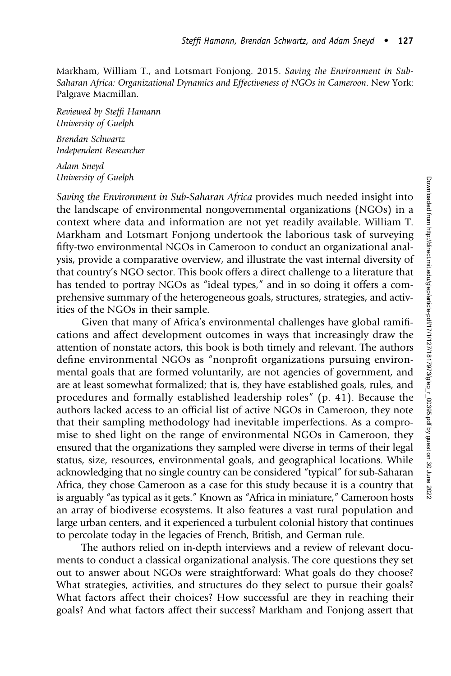Markham, William T., and Lotsmart Fonjong. 2015. Saving the Environment in Sub-Saharan Africa: Organizational Dynamics and Effectiveness of NGOs in Cameroon. New York: Palgrave Macmillan.

Reviewed by Steffi Hamann University of Guelph

Brendan Schwartz Independent Researcher

Adam Sneyd University of Guelph

Saving the Environment in Sub-Saharan Africa provides much needed insight into the landscape of environmental nongovernmental organizations (NGOs) in a context where data and information are not yet readily available. William T. Markham and Lotsmart Fonjong undertook the laborious task of surveying fifty-two environmental NGOs in Cameroon to conduct an organizational analysis, provide a comparative overview, and illustrate the vast internal diversity of that country's NGO sector. This book offers a direct challenge to a literature that has tended to portray NGOs as "ideal types," and in so doing it offers a comprehensive summary of the heterogeneous goals, structures, strategies, and activities of the NGOs in their sample.

Given that many of Africa's environmental challenges have global ramifications and affect development outcomes in ways that increasingly draw the attention of nonstate actors, this book is both timely and relevant. The authors define environmental NGOs as "nonprofit organizations pursuing environmental goals that are formed voluntarily, are not agencies of government, and are at least somewhat formalized; that is, they have established goals, rules, and procedures and formally established leadership roles" (p. 41). Because the authors lacked access to an official list of active NGOs in Cameroon, they note that their sampling methodology had inevitable imperfections. As a compromise to shed light on the range of environmental NGOs in Cameroon, they ensured that the organizations they sampled were diverse in terms of their legal status, size, resources, environmental goals, and geographical locations. While acknowledging that no single country can be considered "typical" for sub-Saharan Africa, they chose Cameroon as a case for this study because it is a country that is arguably "as typical as it gets." Known as "Africa in miniature," Cameroon hosts an array of biodiverse ecosystems. It also features a vast rural population and large urban centers, and it experienced a turbulent colonial history that continues to percolate today in the legacies of French, British, and German rule.

The authors relied on in-depth interviews and a review of relevant documents to conduct a classical organizational analysis. The core questions they set out to answer about NGOs were straightforward: What goals do they choose? What strategies, activities, and structures do they select to pursue their goals? What factors affect their choices? How successful are they in reaching their goals? And what factors affect their success? Markham and Fonjong assert that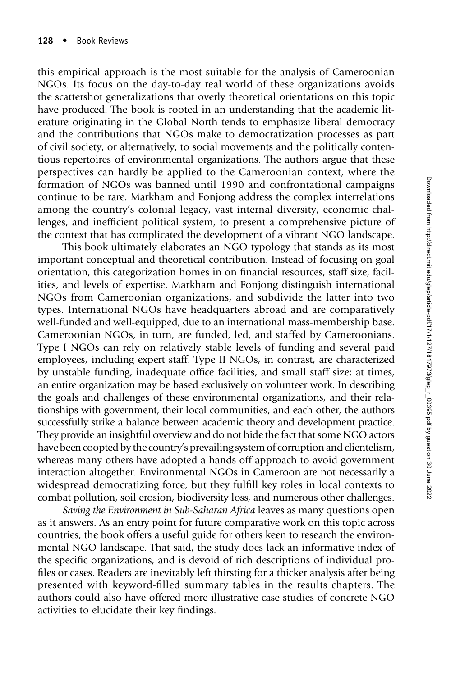this empirical approach is the most suitable for the analysis of Cameroonian NGOs. Its focus on the day-to-day real world of these organizations avoids the scattershot generalizations that overly theoretical orientations on this topic have produced. The book is rooted in an understanding that the academic literature originating in the Global North tends to emphasize liberal democracy and the contributions that NGOs make to democratization processes as part of civil society, or alternatively, to social movements and the politically contentious repertoires of environmental organizations. The authors argue that these perspectives can hardly be applied to the Cameroonian context, where the formation of NGOs was banned until 1990 and confrontational campaigns continue to be rare. Markham and Fonjong address the complex interrelations among the country's colonial legacy, vast internal diversity, economic challenges, and inefficient political system, to present a comprehensive picture of the context that has complicated the development of a vibrant NGO landscape.

This book ultimately elaborates an NGO typology that stands as its most important conceptual and theoretical contribution. Instead of focusing on goal orientation, this categorization homes in on financial resources, staff size, facilities, and levels of expertise. Markham and Fonjong distinguish international NGOs from Cameroonian organizations, and subdivide the latter into two types. International NGOs have headquarters abroad and are comparatively well-funded and well-equipped, due to an international mass-membership base. Cameroonian NGOs, in turn, are funded, led, and staffed by Cameroonians. Type I NGOs can rely on relatively stable levels of funding and several paid employees, including expert staff. Type II NGOs, in contrast, are characterized by unstable funding, inadequate office facilities, and small staff size; at times, an entire organization may be based exclusively on volunteer work. In describing the goals and challenges of these environmental organizations, and their relationships with government, their local communities, and each other, the authors successfully strike a balance between academic theory and development practice. They provide an insightful overview and do not hide the fact that some NGO actors have been coopted by the country's prevailing system of corruption and clientelism, whereas many others have adopted a hands-off approach to avoid government interaction altogether. Environmental NGOs in Cameroon are not necessarily a widespread democratizing force, but they fulfill key roles in local contexts to combat pollution, soil erosion, biodiversity loss, and numerous other challenges.

Saving the Environment in Sub-Saharan Africa leaves as many questions open as it answers. As an entry point for future comparative work on this topic across countries, the book offers a useful guide for others keen to research the environmental NGO landscape. That said, the study does lack an informative index of the specific organizations, and is devoid of rich descriptions of individual profiles or cases. Readers are inevitably left thirsting for a thicker analysis after being presented with keyword-filled summary tables in the results chapters. The authors could also have offered more illustrative case studies of concrete NGO activities to elucidate their key findings.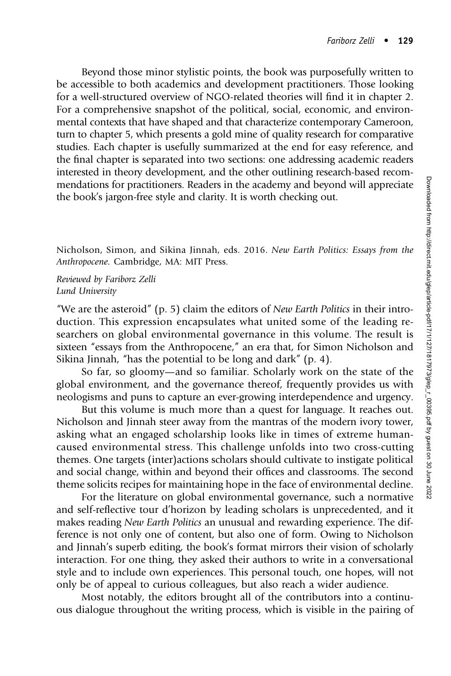Beyond those minor stylistic points, the book was purposefully written to be accessible to both academics and development practitioners. Those looking for a well-structured overview of NGO-related theories will find it in chapter 2. For a comprehensive snapshot of the political, social, economic, and environmental contexts that have shaped and that characterize contemporary Cameroon, turn to chapter 5, which presents a gold mine of quality research for comparative studies. Each chapter is usefully summarized at the end for easy reference, and the final chapter is separated into two sections: one addressing academic readers interested in theory development, and the other outlining research-based recommendations for practitioners. Readers in the academy and beyond will appreciate the book's jargon-free style and clarity. It is worth checking out.

Nicholson, Simon, and Sikina Jinnah, eds. 2016. New Earth Politics: Essays from the Anthropocene. Cambridge, MA: MIT Press.

Reviewed by Fariborz Zelli Lund University

"We are the asteroid" (p. 5) claim the editors of *New Earth Politics* in their introduction. This expression encapsulates what united some of the leading researchers on global environmental governance in this volume. The result is sixteen "essays from the Anthropocene," an era that, for Simon Nicholson and Sikina Jinnah, "has the potential to be long and dark" (p. 4).

So far, so gloomy—and so familiar. Scholarly work on the state of the global environment, and the governance thereof, frequently provides us with neologisms and puns to capture an ever-growing interdependence and urgency.

But this volume is much more than a quest for language. It reaches out. Nicholson and Jinnah steer away from the mantras of the modern ivory tower, asking what an engaged scholarship looks like in times of extreme humancaused environmental stress. This challenge unfolds into two cross-cutting themes. One targets (inter)actions scholars should cultivate to instigate political and social change, within and beyond their offices and classrooms. The second theme solicits recipes for maintaining hope in the face of environmental decline.

For the literature on global environmental governance, such a normative and self-reflective tour d'horizon by leading scholars is unprecedented, and it makes reading New Earth Politics an unusual and rewarding experience. The difference is not only one of content, but also one of form. Owing to Nicholson and Jinnah's superb editing, the book's format mirrors their vision of scholarly interaction. For one thing, they asked their authors to write in a conversational style and to include own experiences. This personal touch, one hopes, will not only be of appeal to curious colleagues, but also reach a wider audience.

Most notably, the editors brought all of the contributors into a continuous dialogue throughout the writing process, which is visible in the pairing of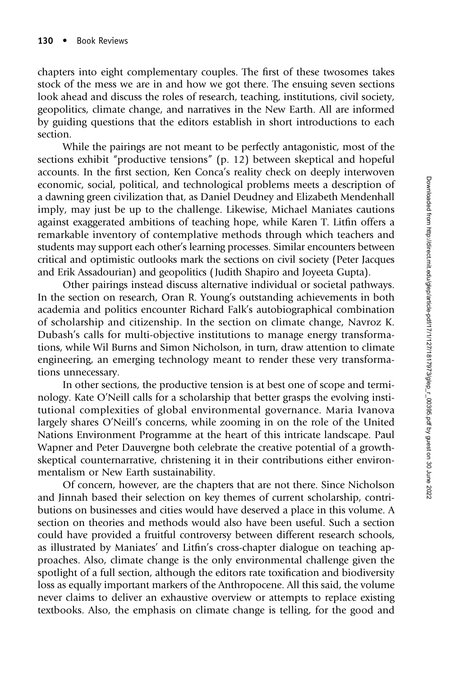chapters into eight complementary couples. The first of these twosomes takes stock of the mess we are in and how we got there. The ensuing seven sections look ahead and discuss the roles of research, teaching, institutions, civil society, geopolitics, climate change, and narratives in the New Earth. All are informed by guiding questions that the editors establish in short introductions to each section.

While the pairings are not meant to be perfectly antagonistic, most of the sections exhibit "productive tensions" (p. 12) between skeptical and hopeful accounts. In the first section, Ken Conca's reality check on deeply interwoven economic, social, political, and technological problems meets a description of a dawning green civilization that, as Daniel Deudney and Elizabeth Mendenhall imply, may just be up to the challenge. Likewise, Michael Maniates cautions against exaggerated ambitions of teaching hope, while Karen T. Litfin offers a remarkable inventory of contemplative methods through which teachers and students may support each other's learning processes. Similar encounters between critical and optimistic outlooks mark the sections on civil society (Peter Jacques and Erik Assadourian) and geopolitics ( Judith Shapiro and Joyeeta Gupta).

Other pairings instead discuss alternative individual or societal pathways. In the section on research, Oran R. Young's outstanding achievements in both academia and politics encounter Richard Falk's autobiographical combination of scholarship and citizenship. In the section on climate change, Navroz K. Dubash's calls for multi-objective institutions to manage energy transformations, while Wil Burns and Simon Nicholson, in turn, draw attention to climate engineering, an emerging technology meant to render these very transformations unnecessary.

In other sections, the productive tension is at best one of scope and terminology. Kate O'Neill calls for a scholarship that better grasps the evolving institutional complexities of global environmental governance. Maria Ivanova largely shares O'Neill's concerns, while zooming in on the role of the United Nations Environment Programme at the heart of this intricate landscape. Paul Wapner and Peter Dauvergne both celebrate the creative potential of a growthskeptical counternarrative, christening it in their contributions either environmentalism or New Earth sustainability.

Of concern, however, are the chapters that are not there. Since Nicholson and Jinnah based their selection on key themes of current scholarship, contributions on businesses and cities would have deserved a place in this volume. A section on theories and methods would also have been useful. Such a section could have provided a fruitful controversy between different research schools, as illustrated by Maniates' and Litfin's cross-chapter dialogue on teaching approaches. Also, climate change is the only environmental challenge given the spotlight of a full section, although the editors rate toxification and biodiversity loss as equally important markers of the Anthropocene. All this said, the volume never claims to deliver an exhaustive overview or attempts to replace existing textbooks. Also, the emphasis on climate change is telling, for the good and